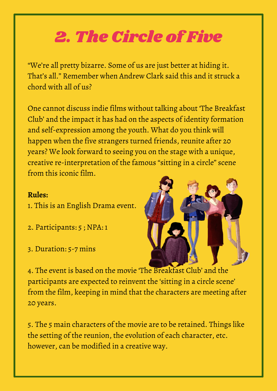## 2. The Circle of Five

"We're all pretty bizarre. Some of us are just better at hiding it. That's all." Remember when Andrew Clark said this and it struck a chord with all of us?

One cannot discuss indie films without talking about 'The Breakfast Club' and the impact it has had on the aspects of identity formation and self-expression among the youth. What do you think will happen when the five strangers turned friends, reunite after 20 years? We look forward to seeing you on the stage with a unique, creative re-interpretation of the famous "sitting in a circle" scene from this iconic film.

## **Rules:**

- 1. This is an English Drama event.
- 2. Participants: 5 ; NPA: 1
- 3. Duration: 5-7 mins



4. The event is based on the movie 'The Breakfast Club' and the participants are expected to reinvent the 'sitting in a circle scene' from the film, keeping in mind that the characters are meeting after 20 years.

5. The 5 main characters of the movie are to be retained. Things like the setting of the reunion, the evolution of each character, etc. however, can be modified in a creative way.